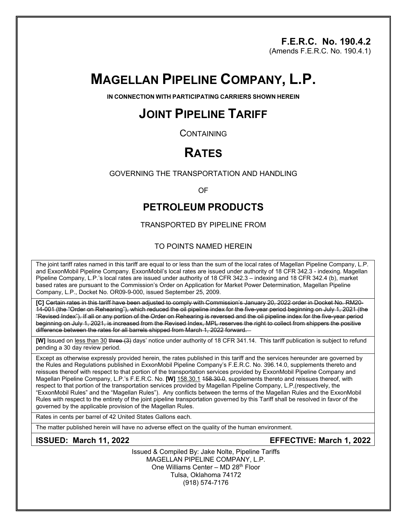## **F.E.R.C. No. 190.4.2**

(Amends F.E.R.C. No. 190.4.1)

# **MAGELLAN PIPELINE COMPANY, L.P.**

**IN CONNECTION WITH PARTICIPATING CARRIERS SHOWN HEREIN**

# **JOINT PIPELINE TARIFF**

**CONTAINING** 

# **RATES**

GOVERNING THE TRANSPORTATION AND HANDLING

OF

## **PETROLEUM PRODUCTS**

TRANSPORTED BY PIPELINE FROM

#### TO POINTS NAMED HEREIN

The joint tariff rates named in this tariff are equal to or less than the sum of the local rates of Magellan Pipeline Company, L.P. and ExxonMobil Pipeline Company. ExxonMobil's local rates are issued under authority of 18 CFR 342.3 - indexing. Magellan Pipeline Company, L.P.'s local rates are issued under authority of 18 CFR 342.3 – indexing and 18 CFR 342.4 (b), market based rates are pursuant to the Commission's Order on Application for Market Power Determination, Magellan Pipeline Company, L.P., Docket No. OR09-9-000, issued September 25, 2009.

**[C]** Certain rates in this tariff have been adjusted to comply with Commission's January 20, 2022 order in Docket No. RM20- 14-001 (the "Order on Rehearing"), which reduced the oil pipeline index for the five-year period beginning on July 1, 2021 (the "Revised Index"). If all or any portion of the Order on Rehearing is reversed and the oil pipeline index for the five-year period beginning on July 1, 2021, is increased from the Revised Index, MPL reserves the right to collect from shippers the positive difference between the rates for all barrels shipped from March 1, 2022 forward.

**[W]** Issued on less than 30 three (3) days' notice under authority of 18 CFR 341.14. This tariff publication is subject to refund pending a 30 day review period.

Except as otherwise expressly provided herein, the rates published in this tariff and the services hereunder are governed by the Rules and Regulations published in ExxonMobil Pipeline Company's F.E.R.C. No. 396.14.0, supplements thereto and reissues thereof with respect to that portion of the transportation services provided by ExxonMobil Pipeline Company and Magellan Pipeline Company, L.P.'s F.E.R.C. No. **[W]** 158.30.1 158.30.0, supplements thereto and reissues thereof, with respect to that portion of the transportation services provided by Magellan Pipeline Company, L.P,(respectively, the "ExxonMobil Rules" and the "Magellan Rules"). Any conflicts between the terms of the Magellan Rules and the ExxonMobil Rules with respect to the entirety of the joint pipeline transportation governed by this Tariff shall be resolved in favor of the governed by the applicable provision of the Magellan Rules.

Rates in cents per barrel of 42 United States Gallons each.

The matter published herein will have no adverse effect on the quality of the human environment.

## **ISSUED: March 11, 2022 EFFECTIVE: March 1, 2022**

Issued & Compiled By: Jake Nolte, Pipeline Tariffs MAGELLAN PIPELINE COMPANY, L.P. One Williams Center - MD 28<sup>th</sup> Floor Tulsa, Oklahoma 74172 (918) 574-7176